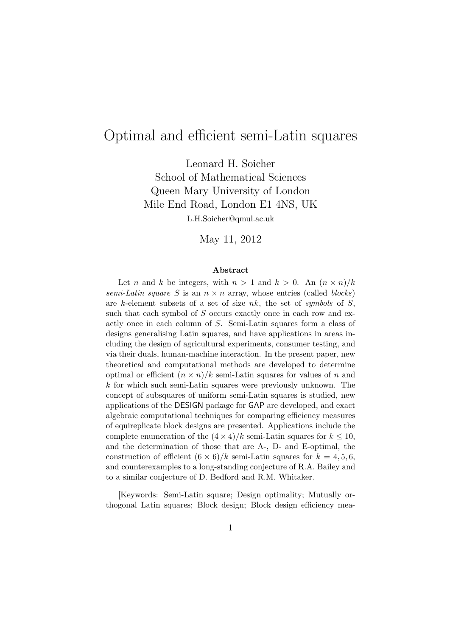# Optimal and efficient semi-Latin squares

Leonard H. Soicher School of Mathematical Sciences Queen Mary University of London Mile End Road, London E1 4NS, UK

L.H.Soicher@qmul.ac.uk

May 11, 2012

#### Abstract

Let n and k be integers, with  $n > 1$  and  $k > 0$ . An  $(n \times n)/k$ semi-Latin square S is an  $n \times n$  array, whose entries (called blocks) are k-element subsets of a set of size nk, the set of symbols of  $S$ , such that each symbol of S occurs exactly once in each row and exactly once in each column of S. Semi-Latin squares form a class of designs generalising Latin squares, and have applications in areas including the design of agricultural experiments, consumer testing, and via their duals, human-machine interaction. In the present paper, new theoretical and computational methods are developed to determine optimal or efficient  $(n \times n)/k$  semi-Latin squares for values of n and  $k$  for which such semi-Latin squares were previously unknown. The concept of subsquares of uniform semi-Latin squares is studied, new applications of the DESIGN package for GAP are developed, and exact algebraic computational techniques for comparing efficiency measures of equireplicate block designs are presented. Applications include the complete enumeration of the  $(4 \times 4)/k$  semi-Latin squares for  $k \leq 10$ , and the determination of those that are A-, D- and E-optimal, the construction of efficient  $(6 \times 6)/k$  semi-Latin squares for  $k = 4, 5, 6$ , and counterexamples to a long-standing conjecture of R.A. Bailey and to a similar conjecture of D. Bedford and R.M. Whitaker.

[Keywords: Semi-Latin square; Design optimality; Mutually orthogonal Latin squares; Block design; Block design efficiency mea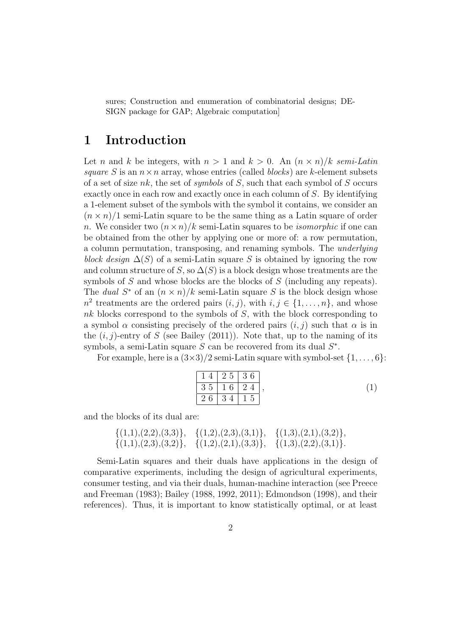sures; Construction and enumeration of combinatorial designs; DE-SIGN package for GAP; Algebraic computation]

### 1 Introduction

Let n and k be integers, with  $n > 1$  and  $k > 0$ . An  $(n \times n)/k$  semi-Latin square S is an  $n \times n$  array, whose entries (called *blocks*) are k-element subsets of a set of size nk, the set of symbols of  $S$ , such that each symbol of  $S$  occurs exactly once in each row and exactly once in each column of S. By identifying a 1-element subset of the symbols with the symbol it contains, we consider an  $(n \times n)/1$  semi-Latin square to be the same thing as a Latin square of order n. We consider two  $(n \times n)/k$  semi-Latin squares to be *isomorphic* if one can be obtained from the other by applying one or more of: a row permutation, a column permutation, transposing, and renaming symbols. The underlying block design  $\Delta(S)$  of a semi-Latin square S is obtained by ignoring the row and column structure of S, so  $\Delta(S)$  is a block design whose treatments are the symbols of S and whose blocks are the blocks of S (including any repeats). The *dual*  $S^*$  of an  $(n \times n)/k$  semi-Latin square S is the block design whose  $n^2$  treatments are the ordered pairs  $(i, j)$ , with  $i, j \in \{1, ..., n\}$ , and whose nk blocks correspond to the symbols of S, with the block corresponding to a symbol  $\alpha$  consisting precisely of the ordered pairs  $(i, j)$  such that  $\alpha$  is in the  $(i, j)$ -entry of S (see Bailey (2011)). Note that, up to the naming of its symbols, a semi-Latin square  $S$  can be recovered from its dual  $S^*$ .

For example, here is a  $(3\times3)/2$  semi-Latin square with symbol-set  $\{1,\ldots,6\}$ :

$$
\begin{array}{|c|c|c|c|c|}\n\hline\n1 & 4 & 2 & 5 & 3 & 6 \\
\hline\n3 & 5 & 1 & 6 & 2 & 4 \\
\hline\n2 & 6 & 3 & 4 & 1 & 5\n\end{array}
$$
, (1)

and the blocks of its dual are:

$$
\{(1,1),(2,2),(3,3)\}, \{(1,2),(2,3),(3,1)\}, \{(1,3),(2,1),(3,2)\}, \{(1,1),(2,3),(3,2)\}, \{(1,2),(2,1),(3,3)\}, \{(1,3),(2,2),(3,1)\}.
$$

Semi-Latin squares and their duals have applications in the design of comparative experiments, including the design of agricultural experiments, consumer testing, and via their duals, human-machine interaction (see Preece and Freeman (1983); Bailey (1988, 1992, 2011); Edmondson (1998), and their references). Thus, it is important to know statistically optimal, or at least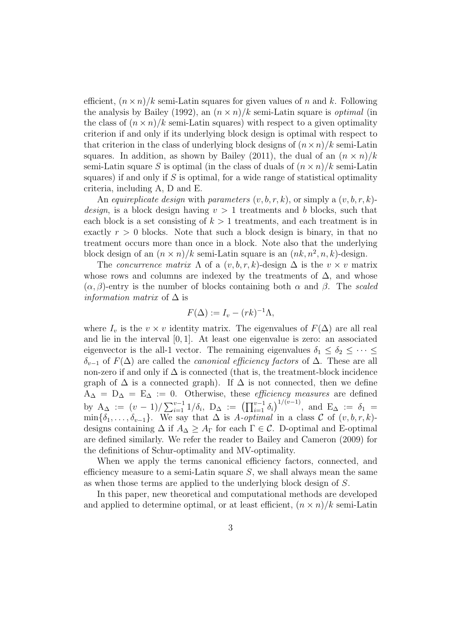efficient,  $(n \times n)/k$  semi-Latin squares for given values of n and k. Following the analysis by Bailey (1992), an  $(n \times n)/k$  semi-Latin square is *optimal* (in the class of  $(n \times n)/k$  semi-Latin squares) with respect to a given optimality criterion if and only if its underlying block design is optimal with respect to that criterion in the class of underlying block designs of  $(n \times n)/k$  semi-Latin squares. In addition, as shown by Bailey (2011), the dual of an  $(n \times n)/k$ semi-Latin square S is optimal (in the class of duals of  $(n \times n)/k$  semi-Latin squares) if and only if  $S$  is optimal, for a wide range of statistical optimality criteria, including A, D and E.

An equireplicate design with parameters  $(v, b, r, k)$ , or simply a  $(v, b, r, k)$ *design*, is a block design having  $v > 1$  treatments and b blocks, such that each block is a set consisting of  $k > 1$  treatments, and each treatment is in exactly  $r > 0$  blocks. Note that such a block design is binary, in that no treatment occurs more than once in a block. Note also that the underlying block design of an  $(n \times n)/k$  semi-Latin square is an  $(nk, n^2, n, k)$ -design.

The *concurrence matrix*  $\Lambda$  of a  $(v, b, r, k)$ -design  $\Delta$  is the  $v \times v$  matrix whose rows and columns are indexed by the treatments of  $\Delta$ , and whose  $(\alpha, \beta)$ -entry is the number of blocks containing both  $\alpha$  and  $\beta$ . The scaled *information matrix* of  $\Delta$  is

$$
F(\Delta) := I_v - (rk)^{-1} \Lambda,
$$

where  $I_v$  is the  $v \times v$  identity matrix. The eigenvalues of  $F(\Delta)$  are all real and lie in the interval [0, 1]. At least one eigenvalue is zero: an associated eigenvector is the all-1 vector. The remaining eigenvalues  $\delta_1 \leq \delta_2 \leq \cdots \leq$  $\delta_{v-1}$  of  $F(\Delta)$  are called the *canonical efficiency factors* of  $\Delta$ . These are all non-zero if and only if  $\Delta$  is connected (that is, the treatment-block incidence graph of  $\Delta$  is a connected graph). If  $\Delta$  is not connected, then we define  $A_{\Delta} = D_{\Delta} = E_{\Delta} := 0$ . Otherwise, these *efficiency measures* are defined by  $A_{\Delta} := (v-1)/\sum_{i=1}^{v-1} 1/\delta_i$ ,  $D_{\Delta} := (\prod_{i=1}^{v-1} \delta_i)^{1/(v-1)}$ , and  $E_{\Delta} := \delta_1 =$  $\min\{\delta_1,\ldots,\delta_{v-1}\}.$  We say that  $\Delta$  is A-optimal in a class C of  $(v, b, r, k)$ designs containing  $\Delta$  if  $A_{\Delta} \geq A_{\Gamma}$  for each  $\Gamma \in \mathcal{C}$ . D-optimal and E-optimal are defined similarly. We refer the reader to Bailey and Cameron (2009) for the definitions of Schur-optimality and MV-optimality.

When we apply the terms canonical efficiency factors, connected, and efficiency measure to a semi-Latin square  $S$ , we shall always mean the same as when those terms are applied to the underlying block design of S.

In this paper, new theoretical and computational methods are developed and applied to determine optimal, or at least efficient,  $(n \times n)/k$  semi-Latin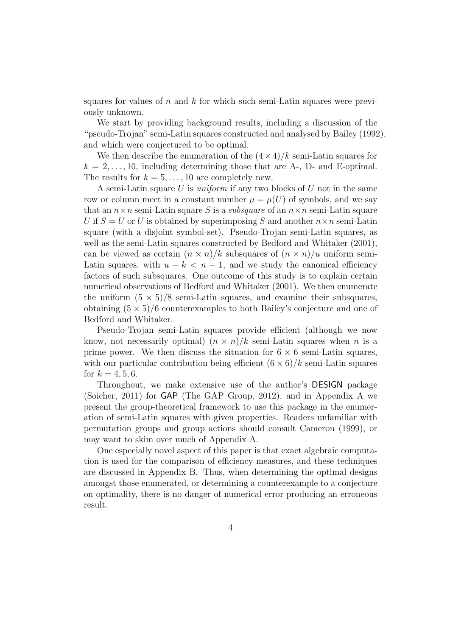squares for values of n and k for which such semi-Latin squares were previously unknown.

We start by providing background results, including a discussion of the "pseudo-Trojan" semi-Latin squares constructed and analysed by Bailey (1992), and which were conjectured to be optimal.

We then describe the enumeration of the  $(4 \times 4)/k$  semi-Latin squares for  $k = 2, \ldots, 10$ , including determining those that are A-, D- and E-optimal. The results for  $k = 5, \ldots, 10$  are completely new.

A semi-Latin square U is uniform if any two blocks of U not in the same row or column meet in a constant number  $\mu = \mu(U)$  of symbols, and we say that an  $n \times n$  semi-Latin square S is a *subsquare* of an  $n \times n$  semi-Latin square U if  $S = U$  or U is obtained by superimposing S and another  $n \times n$  semi-Latin square (with a disjoint symbol-set). Pseudo-Trojan semi-Latin squares, as well as the semi-Latin squares constructed by Bedford and Whitaker (2001), can be viewed as certain  $(n \times n)/k$  subsquares of  $(n \times n)/u$  uniform semi-Latin squares, with  $u - k < n - 1$ , and we study the canonical efficiency factors of such subsquares. One outcome of this study is to explain certain numerical observations of Bedford and Whitaker (2001). We then enumerate the uniform  $(5 \times 5)/8$  semi-Latin squares, and examine their subsquares, obtaining  $(5 \times 5)/6$  counterexamples to both Bailey's conjecture and one of Bedford and Whitaker.

Pseudo-Trojan semi-Latin squares provide efficient (although we now know, not necessarily optimal)  $(n \times n)/k$  semi-Latin squares when n is a prime power. We then discuss the situation for  $6 \times 6$  semi-Latin squares, with our particular contribution being efficient  $(6 \times 6)/k$  semi-Latin squares for  $k = 4, 5, 6$ .

Throughout, we make extensive use of the author's DESIGN package (Soicher, 2011) for GAP (The GAP Group, 2012), and in Appendix A we present the group-theoretical framework to use this package in the enumeration of semi-Latin squares with given properties. Readers unfamiliar with permutation groups and group actions should consult Cameron (1999), or may want to skim over much of Appendix A.

One especially novel aspect of this paper is that exact algebraic computation is used for the comparison of efficiency measures, and these techniques are discussed in Appendix B. Thus, when determining the optimal designs amongst those enumerated, or determining a counterexample to a conjecture on optimality, there is no danger of numerical error producing an erroneous result.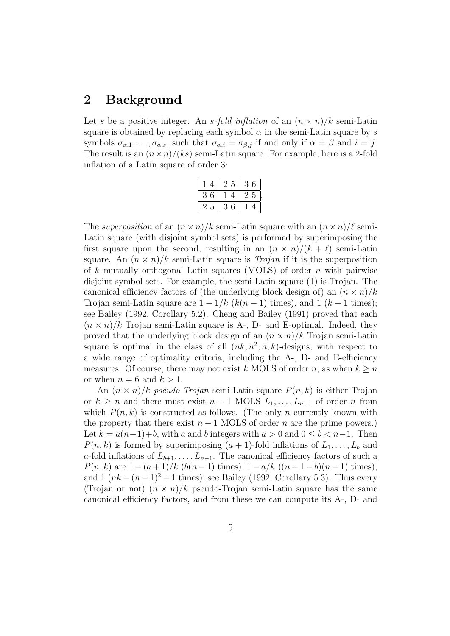## 2 Background

Let s be a positive integer. An s-fold inflation of an  $(n \times n)/k$  semi-Latin square is obtained by replacing each symbol  $\alpha$  in the semi-Latin square by s symbols  $\sigma_{\alpha,1}, \ldots, \sigma_{\alpha,s}$ , such that  $\sigma_{\alpha,i} = \sigma_{\beta,j}$  if and only if  $\alpha = \beta$  and  $i = j$ . The result is an  $(n \times n)/(ks)$  semi-Latin square. For example, here is a 2-fold inflation of a Latin square of order 3:

|        | 25     | 6<br>3. |
|--------|--------|---------|
| 6<br>3 |        | 25      |
|        | ჩ<br>3 |         |

.

The superposition of an  $(n \times n)/k$  semi-Latin square with an  $(n \times n)/\ell$  semi-Latin square (with disjoint symbol sets) is performed by superimposing the first square upon the second, resulting in an  $(n \times n)/(k + \ell)$  semi-Latin square. An  $(n \times n)/k$  semi-Latin square is *Trojan* if it is the superposition of k mutually orthogonal Latin squares (MOLS) of order n with pairwise disjoint symbol sets. For example, the semi-Latin square (1) is Trojan. The canonical efficiency factors of (the underlying block design of) an  $(n \times n)/k$ Trojan semi-Latin square are  $1 - 1/k$  ( $k(n-1)$  times), and 1 ( $k-1$  times); see Bailey (1992, Corollary 5.2). Cheng and Bailey (1991) proved that each  $(n \times n)/k$  Trojan semi-Latin square is A-, D- and E-optimal. Indeed, they proved that the underlying block design of an  $(n \times n)/k$  Trojan semi-Latin square is optimal in the class of all  $(nk, n^2, n, k)$ -designs, with respect to a wide range of optimality criteria, including the A-, D- and E-efficiency measures. Of course, there may not exist k MOLS of order n, as when  $k \geq n$ or when  $n = 6$  and  $k > 1$ .

An  $(n \times n)/k$  pseudo-Trojan semi-Latin square  $P(n, k)$  is either Trojan or  $k \geq n$  and there must exist  $n-1$  MOLS  $L_1, \ldots, L_{n-1}$  of order n from which  $P(n, k)$  is constructed as follows. (The only n currently known with the property that there exist  $n - 1$  MOLS of order n are the prime powers.) Let  $k = a(n-1)+b$ , with a and b integers with  $a > 0$  and  $0 \leq b < n-1$ . Then  $P(n, k)$  is formed by superimposing  $(a + 1)$ -fold inflations of  $L_1, \ldots, L_b$  and a-fold inflations of  $L_{b+1}, \ldots, L_{n-1}$ . The canonical efficiency factors of such a  $P(n, k)$  are  $1 - (a + 1)/k$  (b(n - 1) times),  $1 - a/k$  ((n - 1 - b)(n - 1) times), and  $1 (nk - (n-1)^2 - 1$  times); see Bailey (1992, Corollary 5.3). Thus every (Trojan or not)  $(n \times n)/k$  pseudo-Trojan semi-Latin square has the same canonical efficiency factors, and from these we can compute its A-, D- and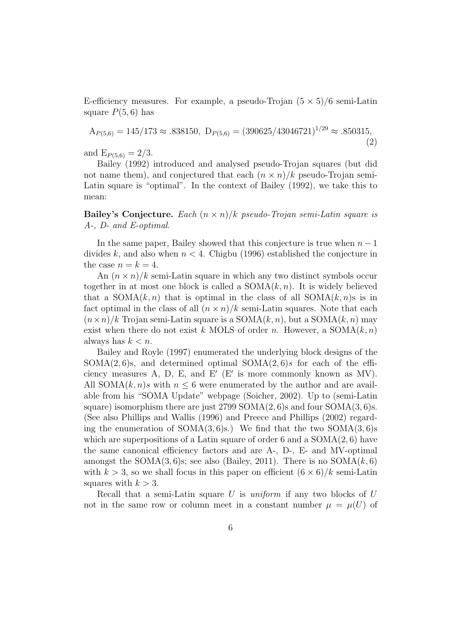E-efficiency measures. For example, a pseudo-Trojan  $(5 \times 5)/6$  semi-Latin square  $P(5, 6)$  has

 $A_{P(5,6)} = 145/173 \approx .838150, \ D_{P(5,6)} = (390625/43046721)^{1/29} \approx .850315,$ (2)

and  $E_{P(5,6)} = 2/3$ .

Bailey (1992) introduced and analysed pseudo-Trojan squares (but did not name them), and conjectured that each  $(n \times n)/k$  pseudo-Trojan semi-Latin square is "optimal". In the context of Bailey (1992), we take this to mean:

Bailey's Conjecture. Each  $(n \times n)/k$  pseudo-Trojan semi-Latin square is A-, D- and E-optimal.

In the same paper, Bailey showed that this conjecture is true when  $n-1$ divides k, and also when  $n < 4$ . Chigbu (1996) established the conjecture in the case  $n = k = 4$ .

An  $(n \times n)/k$  semi-Latin square in which any two distinct symbols occur together in at most one block is called a  $SOMA(k, n)$ . It is widely believed that a  $SOMA(k, n)$  that is optimal in the class of all  $SOMA(k, n)$ s is in fact optimal in the class of all  $(n \times n)/k$  semi-Latin squares. Note that each  $(n \times n)/k$  Trojan semi-Latin square is a SOMA $(k, n)$ , but a SOMA $(k, n)$  may exist when there do not exist k MOLS of order n. However, a  $SOMA(k, n)$ always has  $k < n$ .

Bailey and Royle (1997) enumerated the underlying block designs of the  $SOMA(2, 6)$ s, and determined optimal  $SOMA(2, 6)$ s for each of the efficiency measures A, D, E, and E'  $(E'$  is more commonly known as MV). All SOMA $(k, n)$ s with  $n \leq 6$  were enumerated by the author and are available from his "SOMA Update" webpage (Soicher, 2002). Up to (semi-Latin square) isomorphism there are just  $2799$  SOMA $(2, 6)$ s and four SOMA $(3, 6)$ s. (See also Phillips and Wallis (1996) and Preece and Phillips (2002) regarding the enumeration of SOMA $(3, 6)$ s.) We find that the two SOMA $(3, 6)$ s which are superpositions of a Latin square of order 6 and a  $SOMA(2, 6)$  have the same canonical efficiency factors and are A-, D-, E- and MV-optimal amongst the SOMA $(3, 6)$ s; see also (Bailey, 2011). There is no SOMA $(k, 6)$ with  $k > 3$ , so we shall focus in this paper on efficient  $(6 \times 6)/k$  semi-Latin squares with  $k > 3$ .

Recall that a semi-Latin square  $U$  is uniform if any two blocks of  $U$ not in the same row or column meet in a constant number  $\mu = \mu(U)$  of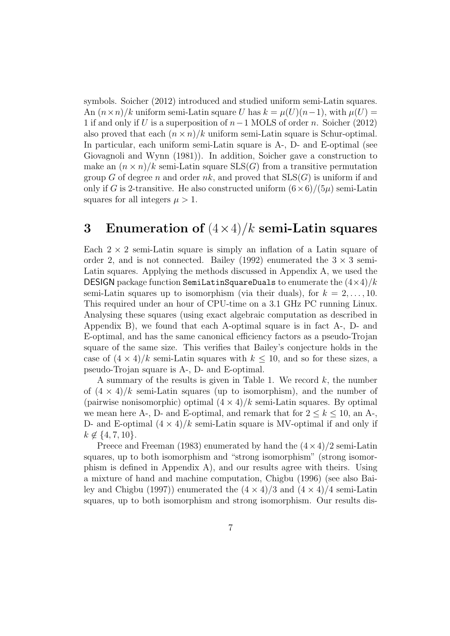symbols. Soicher (2012) introduced and studied uniform semi-Latin squares. An  $(n \times n)/k$  uniform semi-Latin square U has  $k = \mu(U)(n-1)$ , with  $\mu(U) =$ 1 if and only if U is a superposition of  $n-1$  MOLS of order n. Soicher (2012) also proved that each  $(n \times n)/k$  uniform semi-Latin square is Schur-optimal. In particular, each uniform semi-Latin square is A-, D- and E-optimal (see Giovagnoli and Wynn (1981)). In addition, Soicher gave a construction to make an  $(n \times n)/k$  semi-Latin square SLS(G) from a transitive permutation group G of degree n and order  $nk$ , and proved that  $SLS(G)$  is uniform if and only if G is 2-transitive. He also constructed uniform  $(6 \times 6)/(5\mu)$  semi-Latin squares for all integers  $\mu > 1$ .

## 3 Enumeration of  $(4\times4)/k$  semi-Latin squares

Each  $2 \times 2$  semi-Latin square is simply an inflation of a Latin square of order 2, and is not connected. Bailey (1992) enumerated the  $3 \times 3$  semi-Latin squares. Applying the methods discussed in Appendix A, we used the DESIGN package function SemiLatinSquareDuals to enumerate the  $(4\times4)/k$ semi-Latin squares up to isomorphism (via their duals), for  $k = 2, \ldots, 10$ . This required under an hour of CPU-time on a 3.1 GHz PC running Linux. Analysing these squares (using exact algebraic computation as described in Appendix B), we found that each A-optimal square is in fact A-, D- and E-optimal, and has the same canonical efficiency factors as a pseudo-Trojan square of the same size. This verifies that Bailey's conjecture holds in the case of  $(4 \times 4)/k$  semi-Latin squares with  $k \leq 10$ , and so for these sizes, a pseudo-Trojan square is A-, D- and E-optimal.

A summary of the results is given in Table 1. We record  $k$ , the number of  $(4 \times 4)/k$  semi-Latin squares (up to isomorphism), and the number of (pairwise nonisomorphic) optimal  $(4 \times 4)/k$  semi-Latin squares. By optimal we mean here A-, D- and E-optimal, and remark that for  $2 \leq k \leq 10$ , an A-, D- and E-optimal  $(4 \times 4)/k$  semi-Latin square is MV-optimal if and only if  $k \notin \{4, 7, 10\}.$ 

Preece and Freeman (1983) enumerated by hand the  $(4 \times 4)/2$  semi-Latin squares, up to both isomorphism and "strong isomorphism" (strong isomorphism is defined in Appendix A), and our results agree with theirs. Using a mixture of hand and machine computation, Chigbu (1996) (see also Bailey and Chigbu (1997)) enumerated the  $(4 \times 4)/3$  and  $(4 \times 4)/4$  semi-Latin squares, up to both isomorphism and strong isomorphism. Our results dis-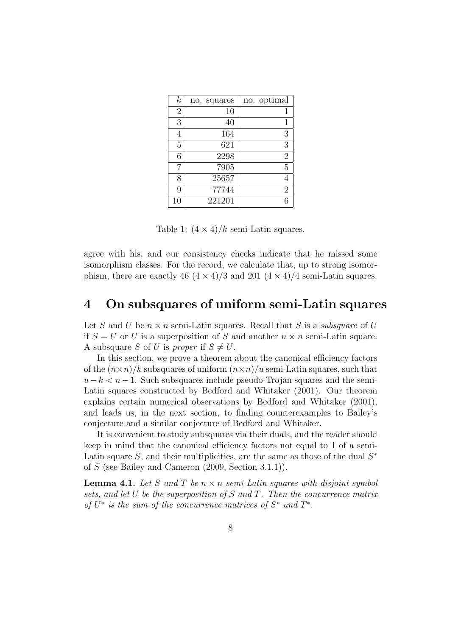| $\boldsymbol{k}$ | no. squares | no. optimal    |
|------------------|-------------|----------------|
| $\overline{2}$   | 10          | 1              |
| 3                | 40          | 1              |
| $\overline{4}$   | 164         | 3              |
| $\overline{5}$   | 621         | 3              |
| 6                | 2298        | $\overline{2}$ |
| 7                | 7905        | 5              |
| 8                | 25657       |                |
| 9                | 77744       | $\overline{2}$ |
| 10               | 221201      |                |

Table 1:  $(4 \times 4)/k$  semi-Latin squares.

agree with his, and our consistency checks indicate that he missed some isomorphism classes. For the record, we calculate that, up to strong isomorphism, there are exactly 46  $(4 \times 4)/3$  and 201  $(4 \times 4)/4$  semi-Latin squares.

#### 4 On subsquares of uniform semi-Latin squares

Let S and U be  $n \times n$  semi-Latin squares. Recall that S is a *subsquare* of U if  $S = U$  or U is a superposition of S and another  $n \times n$  semi-Latin square. A subsquare S of U is proper if  $S \neq U$ .

In this section, we prove a theorem about the canonical efficiency factors of the  $(n \times n)/k$  subsquares of uniform  $(n \times n)/u$  semi-Latin squares, such that  $u-k < n-1$ . Such subsquares include pseudo-Trojan squares and the semi-Latin squares constructed by Bedford and Whitaker (2001). Our theorem explains certain numerical observations by Bedford and Whitaker (2001), and leads us, in the next section, to finding counterexamples to Bailey's conjecture and a similar conjecture of Bedford and Whitaker.

It is convenient to study subsquares via their duals, and the reader should keep in mind that the canonical efficiency factors not equal to 1 of a semi-Latin square  $S$ , and their multiplicities, are the same as those of the dual  $S^*$ of S (see Bailey and Cameron (2009, Section 3.1.1)).

**Lemma 4.1.** Let S and T be  $n \times n$  semi-Latin squares with disjoint symbol sets, and let U be the superposition of S and T. Then the concurrence matrix of  $U^*$  is the sum of the concurrence matrices of  $S^*$  and  $T^*$ .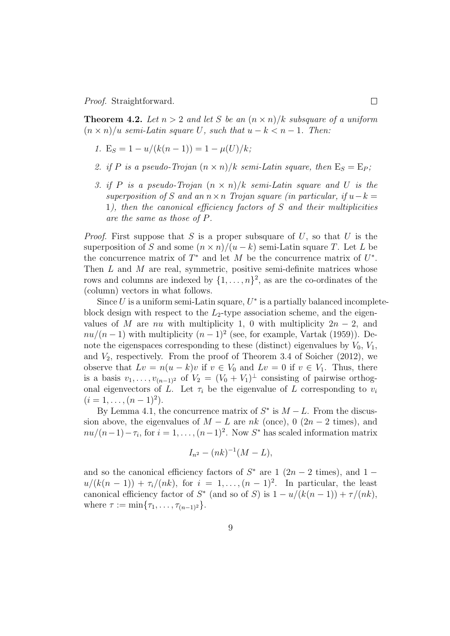Proof. Straightforward.

**Theorem 4.2.** Let  $n > 2$  and let S be an  $(n \times n)/k$  subsquare of a uniform  $(n \times n)/u$  semi-Latin square U, such that  $u - k < n - 1$ . Then:

- 1.  $E_S = 1 u/(k(n-1)) = 1 u(U)/k$ ;
- 2. if P is a pseudo-Trojan  $(n \times n)/k$  semi-Latin square, then  $E_S = E_P$ ;
- 3. if P is a pseudo-Trojan  $(n \times n)/k$  semi-Latin square and U is the superposition of S and an  $n \times n$  Trojan square (in particular, if  $u-k=$ 1), then the canonical efficiency factors of  $S$  and their multiplicities are the same as those of P.

*Proof.* First suppose that S is a proper subsquare of U, so that U is the superposition of S and some  $(n \times n)/(u - k)$  semi-Latin square T. Let L be the concurrence matrix of  $T^*$  and let M be the concurrence matrix of  $U^*$ . Then  $L$  and  $M$  are real, symmetric, positive semi-definite matrices whose rows and columns are indexed by  $\{1, \ldots, n\}^2$ , as are the co-ordinates of the (column) vectors in what follows.

Since  $U$  is a uniform semi-Latin square,  $U^*$  is a partially balanced incompleteblock design with respect to the  $L_2$ -type association scheme, and the eigenvalues of M are nu with multiplicity 1, 0 with multiplicity  $2n - 2$ , and  $nu/(n-1)$  with multiplicity  $(n-1)^2$  (see, for example, Vartak (1959)). Denote the eigenspaces corresponding to these (distinct) eigenvalues by  $V_0$ ,  $V_1$ , and  $V_2$ , respectively. From the proof of Theorem 3.4 of Soicher (2012), we observe that  $Lv = n(u - k)v$  if  $v \in V_0$  and  $Lv = 0$  if  $v \in V_1$ . Thus, there is a basis  $v_1, \ldots, v_{(n-1)^2}$  of  $V_2 = (V_0 + V_1)^{\perp}$  consisting of pairwise orthogonal eigenvectors of L. Let  $\tau_i$  be the eigenvalue of L corresponding to  $v_i$  $(i = 1, \ldots, (n-1)^2).$ 

By Lemma 4.1, the concurrence matrix of  $S^*$  is  $M - L$ . From the discussion above, the eigenvalues of  $M - L$  are  $nk$  (once), 0 (2n − 2 times), and  $nu/(n-1)-\tau_i$ , for  $i=1,\ldots,(n-1)^2$ . Now S<sup>\*</sup> has scaled information matrix

$$
I_{n^2} - (nk)^{-1}(M - L),
$$

and so the canonical efficiency factors of  $S^*$  are 1 (2n – 2 times), and 1 –  $u/(k(n-1)) + \tau_i/(nk)$ , for  $i = 1, ..., (n-1)^2$ . In particular, the least canonical efficiency factor of  $S^*$  (and so of S) is  $1 - u/(k(n-1)) + \tau/(nk)$ , where  $\tau := \min\{\tau_1, \ldots, \tau_{(n-1)^2}\}.$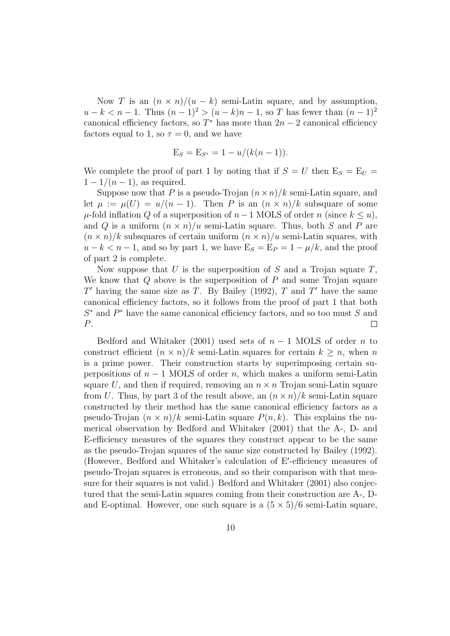Now T is an  $(n \times n)/(u - k)$  semi-Latin square, and by assumption,  $u - k < n - 1$ . Thus  $(n - 1)^2 > (u - k)n - 1$ , so T has fewer than  $(n - 1)^2$ canonical efficiency factors, so  $T^*$  has more than  $2n-2$  canonical efficiency factors equal to 1, so  $\tau = 0$ , and we have

$$
E_S = E_{S^*} = 1 - u/(k(n-1)).
$$

We complete the proof of part 1 by noting that if  $S = U$  then  $E_S = E_U =$  $1-1/(n-1)$ , as required.

Suppose now that P is a pseudo-Trojan  $(n \times n)/k$  semi-Latin square, and let  $\mu := \mu(U) = u/(n-1)$ . Then P is an  $(n \times n)/k$  subsquare of some  $\mu$ -fold inflation Q of a superposition of  $n-1$  MOLS of order n (since  $k \leq u$ ), and Q is a uniform  $(n \times n)/u$  semi-Latin square. Thus, both S and P are  $(n \times n)/k$  subsquares of certain uniform  $(n \times n)/u$  semi-Latin squares, with  $u - k < n - 1$ , and so by part 1, we have  $E_S = E_P = 1 - \mu/k$ , and the proof of part 2 is complete.

Now suppose that  $U$  is the superposition of  $S$  and a Trojan square  $T$ , We know that  $Q$  above is the superposition of  $P$  and some Trojan square  $T'$  having the same size as T. By Bailey (1992), T and T' have the same canonical efficiency factors, so it follows from the proof of part 1 that both  $S^*$  and  $P^*$  have the same canonical efficiency factors, and so too must S and P.  $\Box$ 

Bedford and Whitaker (2001) used sets of  $n-1$  MOLS of order n to construct efficient  $(n \times n)/k$  semi-Latin squares for certain  $k \geq n$ , when n is a prime power. Their construction starts by superimposing certain superpositions of  $n-1$  MOLS of order n, which makes a uniform semi-Latin square U, and then if required, removing an  $n \times n$  Trojan semi-Latin square from U. Thus, by part 3 of the result above, an  $(n \times n)/k$  semi-Latin square constructed by their method has the same canonical efficiency factors as a pseudo-Trojan  $(n \times n)/k$  semi-Latin square  $P(n, k)$ . This explains the numerical observation by Bedford and Whitaker (2001) that the A-, D- and E-efficiency measures of the squares they construct appear to be the same as the pseudo-Trojan squares of the same size constructed by Bailey (1992). (However, Bedford and Whitaker's calculation of E'-efficiency measures of pseudo-Trojan squares is erroneous, and so their comparison with that measure for their squares is not valid.) Bedford and Whitaker (2001) also conjectured that the semi-Latin squares coming from their construction are A-, Dand E-optimal. However, one such square is a  $(5 \times 5)/6$  semi-Latin square,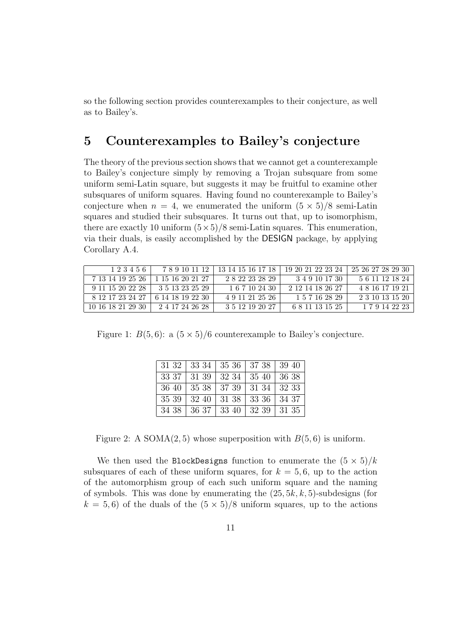so the following section provides counterexamples to their conjecture, as well as to Bailey's.

## 5 Counterexamples to Bailey's conjecture

The theory of the previous section shows that we cannot get a counterexample to Bailey's conjecture simply by removing a Trojan subsquare from some uniform semi-Latin square, but suggests it may be fruitful to examine other subsquares of uniform squares. Having found no counterexample to Bailey's conjecture when  $n = 4$ , we enumerated the uniform  $(5 \times 5)/8$  semi-Latin squares and studied their subsquares. It turns out that, up to isomorphism, there are exactly 10 uniform  $(5 \times 5)/8$  semi-Latin squares. This enumeration, via their duals, is easily accomplished by the DESIGN package, by applying Corollary A.4.

| 123456            | 789101112        | 13 14 15 16 17 18 | 19 20 21 22 23 24 | 25 26 27 28 29 30 |
|-------------------|------------------|-------------------|-------------------|-------------------|
| 7 13 14 19 25 26  | 1 15 16 20 21 27 | 2822232829        | 3 4 9 10 17 30    | 5 6 11 12 18 24   |
| 9 11 15 20 22 28  | 3 5 13 23 25 29  | 1 6 7 10 24 30    | 2 12 14 18 26 27  | 4 8 16 17 19 21   |
| 8 12 17 23 24 27  | 6 14 18 19 22 30 | 4 9 11 21 25 26   | 1 5 7 16 28 29    | 2 3 10 13 15 20   |
| 10 16 18 21 29 30 | 2 4 17 24 26 28  | 3 5 12 19 20 27   | 6 8 11 13 15 25   | 1 7 9 14 22 23    |

Figure 1:  $B(5,6)$ : a  $(5 \times 5)/6$  counterexample to Bailey's conjecture.

| 31 32 | 33 34   35 36   37 38          | 39 40         |
|-------|--------------------------------|---------------|
| 33 37 | $31\;39\; \;32\;34\; \;35\;40$ | $\vert$ 36 38 |
| 36.40 | 35 38   37 39   31 34          | 32 33         |
| 35 39 | $32\;40\; \;31\;38\; \;33\;36$ | 34 37         |
| 34 38 | 36 37   33 40   32 39          | 31 35         |

Figure 2: A SOMA $(2, 5)$  whose superposition with  $B(5, 6)$  is uniform.

We then used the BlockDesigns function to enumerate the  $(5 \times 5)/k$ subsquares of each of these uniform squares, for  $k = 5, 6$ , up to the action of the automorphism group of each such uniform square and the naming of symbols. This was done by enumerating the  $(25, 5k, k, 5)$ -subdesigns (for  $k = 5, 6$ ) of the duals of the  $(5 \times 5)/8$  uniform squares, up to the actions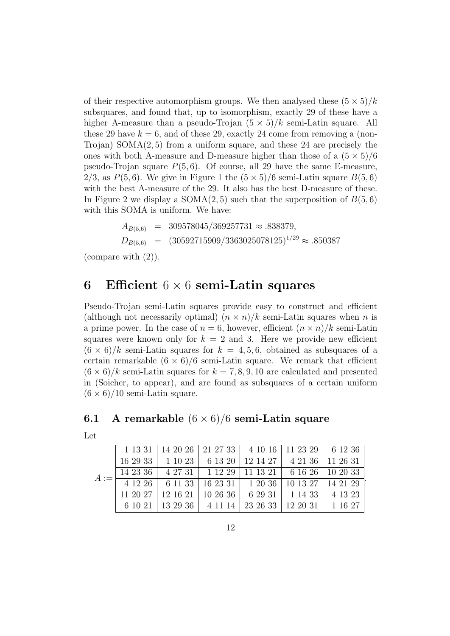of their respective automorphism groups. We then analysed these  $(5 \times 5)/k$ subsquares, and found that, up to isomorphism, exactly 29 of these have a higher A-measure than a pseudo-Trojan  $(5 \times 5)/k$  semi-Latin square. All these 29 have  $k = 6$ , and of these 29, exactly 24 come from removing a (non-Trojan) SOMA $(2, 5)$  from a uniform square, and these 24 are precisely the ones with both A-measure and D-measure higher than those of a  $(5 \times 5)/6$ pseudo-Trojan square  $P(5, 6)$ . Of course, all 29 have the same E-measure, 2/3, as  $P(5,6)$ . We give in Figure 1 the  $(5 \times 5)/6$  semi-Latin square  $B(5,6)$ with the best A-measure of the 29. It also has the best D-measure of these. In Figure 2 we display a SOMA $(2, 5)$  such that the superposition of  $B(5, 6)$ with this SOMA is uniform. We have:

$$
A_{B(5,6)} = 309578045/369257731 \approx .838379,
$$
  
\n
$$
D_{B(5,6)} = (30592715909/3363025078125)^{1/29} \approx .850387
$$

(compare with (2)).

#### 6 Efficient  $6 \times 6$  semi-Latin squares

Pseudo-Trojan semi-Latin squares provide easy to construct and efficient (although not necessarily optimal)  $(n \times n)/k$  semi-Latin squares when n is a prime power. In the case of  $n = 6$ , however, efficient  $(n \times n)/k$  semi-Latin squares were known only for  $k = 2$  and 3. Here we provide new efficient  $(6 \times 6)/k$  semi-Latin squares for  $k = 4, 5, 6$ , obtained as subsquares of a certain remarkable  $(6 \times 6)/6$  semi-Latin square. We remark that efficient  $(6 \times 6)/k$  semi-Latin squares for  $k = 7, 8, 9, 10$  are calculated and presented in (Soicher, to appear), and are found as subsquares of a certain uniform  $(6 \times 6)/10$  semi-Latin square.

#### **6.1** A remarkable  $(6 \times 6)/6$  semi-Latin square

|  | 1 13 31   14 20 26   21 27 33   4 10 16   11 23 29   6 12 36                                                               |  |  |
|--|----------------------------------------------------------------------------------------------------------------------------|--|--|
|  | 16 29 33   1 10 23   6 13 20   12 14 27   4 21 36   11 26 31                                                               |  |  |
|  | $\boxed{14\ 23\ 36}$ $\boxed{4\ 27\ 31}$ $\boxed{1\ 12\ 29}$ $\boxed{11\ 13\ 21}$ $\boxed{6\ 16\ 26}$ $\boxed{10\ 20\ 33}$ |  |  |
|  |                                                                                                                            |  |  |
|  | $11\ 20\ 27$   12 16 21   10 26 36   6 29 31   1 14 33   4 13 23                                                           |  |  |
|  | 6 10 21   13 29 36   4 11 14   23 26 33   12 20 31   1 16 27                                                               |  |  |

.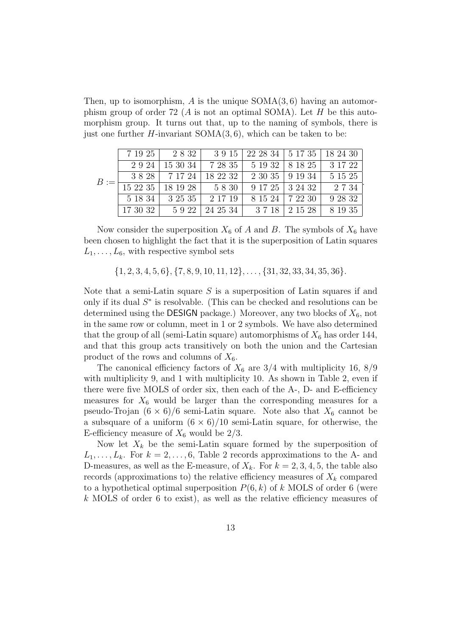Then, up to isomorphism, A is the unique  $SOMA(3, 6)$  having an automorphism group of order 72 (A is not an optimal SOMA). Let H be this automorphism group. It turns out that, up to the naming of symbols, there is just one further  $H$ -invariant SOMA $(3, 6)$ , which can be taken to be:

|  |         |                                                                                |                 |                   | 7 19 25   2 8 32   3 9 15   22 28 34   5 17 35   18 24 30 |
|--|---------|--------------------------------------------------------------------------------|-----------------|-------------------|-----------------------------------------------------------|
|  |         | 2 9 24   15 30 34   7 28 35   5 19 32   8 18 25   3 17 22                      |                 |                   |                                                           |
|  |         | 3 8 28   7 17 24   18 22 32   2 30 35   9 19 34                                |                 |                   | 5 15 25                                                   |
|  |         | $B := \frac{1}{15\ 22\ 35} + \frac{1}{18\ 19\ 28} + \frac{5\ 8\ 30}{5\ 8\ 30}$ |                 | 9 17 25 3 24 32   | 2734                                                      |
|  | 5 18 34 |                                                                                | 3 25 35 2 17 19 | 8 15 24   7 22 30 | 9 28 32                                                   |
|  |         | 17 30 32   5 9 22   24 25 34   3 7 18   2 15 28                                |                 |                   | 8 19 35                                                   |

Now consider the superposition  $X_6$  of A and B. The symbols of  $X_6$  have been chosen to highlight the fact that it is the superposition of Latin squares  $L_1, \ldots, L_6$ , with respective symbol sets

 $\{1, 2, 3, 4, 5, 6\}, \{7, 8, 9, 10, 11, 12\}, \ldots, \{31, 32, 33, 34, 35, 36\}.$ 

Note that a semi-Latin square  $S$  is a superposition of Latin squares if and only if its dual  $S^*$  is resolvable. (This can be checked and resolutions can be determined using the DESIGN package.) Moreover, any two blocks of  $X_6$ , not in the same row or column, meet in 1 or 2 symbols. We have also determined that the group of all (semi-Latin square) automorphisms of  $X_6$  has order 144, and that this group acts transitively on both the union and the Cartesian product of the rows and columns of  $X_6$ .

The canonical efficiency factors of  $X_6$  are 3/4 with multiplicity 16, 8/9 with multiplicity 9, and 1 with multiplicity 10. As shown in Table 2, even if there were five MOLS of order six, then each of the A-, D- and E-efficiency measures for  $X_6$  would be larger than the corresponding measures for a pseudo-Trojan  $(6 \times 6)/6$  semi-Latin square. Note also that  $X_6$  cannot be a subsquare of a uniform  $(6 \times 6)/10$  semi-Latin square, for otherwise, the E-efficiency measure of  $X_6$  would be  $2/3$ .

Now let  $X_k$  be the semi-Latin square formed by the superposition of  $L_1, \ldots, L_k$ . For  $k = 2, \ldots, 6$ , Table 2 records approximations to the A- and D-measures, as well as the E-measure, of  $X_k$ . For  $k = 2, 3, 4, 5$ , the table also records (approximations to) the relative efficiency measures of  $X_k$  compared to a hypothetical optimal superposition  $P(6, k)$  of k MOLS of order 6 (were k MOLS of order 6 to exist), as well as the relative efficiency measures of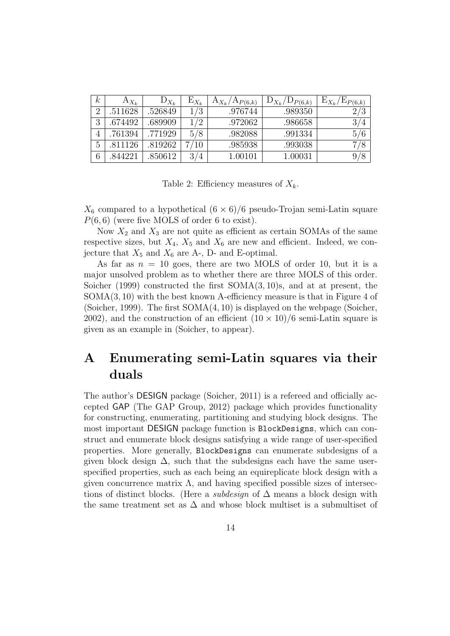| k | $A_{X_k}$ | $D_{X_k}$ | $E_{X_k}$ | $A_{X_k}/A_{P(6,k)}$ | $D_{X_k}/D_{P(6,k)}$ | $E_{X_k}$<br>$E_{P(6,k)}$ |
|---|-----------|-----------|-----------|----------------------|----------------------|---------------------------|
| റ | 511628    | .526849   | 1/3       | .976744              | .989350              | ′3                        |
| 3 | .674492   | .689909   | 1/2       | .972062              | .986658              | 3/4                       |
| 4 | .761394   | .771929   | 5/8       | .982088              | .991334              | 5/6                       |
| 5 | .811126   | .819262   | ⇁<br>/10  | .985938              | .993038              |                           |
| 6 | 844221    | .850612   | 3/4       | 1.00101              | 1.00031              |                           |

Table 2: Efficiency measures of  $X_k$ .

 $X_6$  compared to a hypothetical  $(6 \times 6)/6$  pseudo-Trojan semi-Latin square  $P(6, 6)$  (were five MOLS of order 6 to exist).

Now  $X_2$  and  $X_3$  are not quite as efficient as certain SOMAs of the same respective sizes, but  $X_4$ ,  $X_5$  and  $X_6$  are new and efficient. Indeed, we conjecture that  $X_5$  and  $X_6$  are A-, D- and E-optimal.

As far as  $n = 10$  goes, there are two MOLS of order 10, but it is a major unsolved problem as to whether there are three MOLS of this order. Soicher (1999) constructed the first SOMA(3, 10)s, and at at present, the  $SOMA(3, 10)$  with the best known A-efficiency measure is that in Figure 4 of (Soicher, 1999). The first SOMA(4, 10) is displayed on the webpage (Soicher, 2002), and the construction of an efficient  $(10 \times 10)/6$  semi-Latin square is given as an example in (Soicher, to appear).

## A Enumerating semi-Latin squares via their duals

The author's DESIGN package (Soicher, 2011) is a refereed and officially accepted GAP (The GAP Group, 2012) package which provides functionality for constructing, enumerating, partitioning and studying block designs. The most important DESIGN package function is BlockDesigns, which can construct and enumerate block designs satisfying a wide range of user-specified properties. More generally, BlockDesigns can enumerate subdesigns of a given block design  $\Delta$ , such that the subdesigns each have the same userspecified properties, such as each being an equireplicate block design with a given concurrence matrix  $\Lambda$ , and having specified possible sizes of intersections of distinct blocks. (Here a *subdesign* of  $\Delta$  means a block design with the same treatment set as  $\Delta$  and whose block multiset is a submultiset of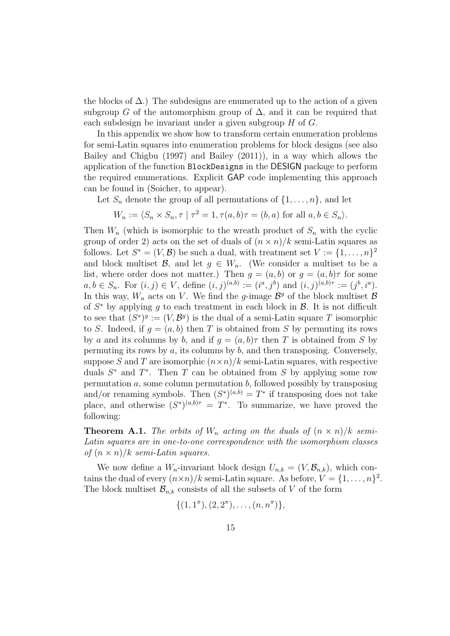the blocks of  $\Delta$ .) The subdesigns are enumerated up to the action of a given subgroup G of the automorphism group of  $\Delta$ , and it can be required that each subdesign be invariant under a given subgroup H of G.

In this appendix we show how to transform certain enumeration problems for semi-Latin squares into enumeration problems for block designs (see also Bailey and Chigbu (1997) and Bailey (2011)), in a way which allows the application of the function BlockDesigns in the DESIGN package to perform the required enumerations. Explicit GAP code implementing this approach can be found in (Soicher, to appear).

Let  $S_n$  denote the group of all permutations of  $\{1, \ldots, n\}$ , and let

$$
W_n := \langle S_n \times S_n, \tau \mid \tau^2 = 1, \tau(a, b)\tau = (b, a) \text{ for all } a, b \in S_n \rangle.
$$

Then  $W_n$  (which is isomorphic to the wreath product of  $S_n$  with the cyclic group of order 2) acts on the set of duals of  $(n \times n)/k$  semi-Latin squares as follows. Let  $S^* = (V, \mathcal{B})$  be such a dual, with treatment set  $V := \{1, \ldots, n\}^2$ and block multiset B, and let  $g \in W_n$ . (We consider a multiset to be a list, where order does not matter.) Then  $g = (a, b)$  or  $g = (a, b)\tau$  for some  $a, b \in S_n$ . For  $(i, j) \in V$ , define  $(i, j)^{(a,b)} := (i^a, j^b)$  and  $(i, j)^{(a,b)\tau} := (j^b, i^a)$ . In this way,  $W_n$  acts on V. We find the g-image  $\mathcal{B}^g$  of the block multiset  $\mathcal B$ of  $S^*$  by applying g to each treatment in each block in  $\mathcal{B}$ . It is not difficult to see that  $(S^*)^g := (V, \mathcal{B}^g)$  is the dual of a semi-Latin square T isomorphic to S. Indeed, if  $q = (a, b)$  then T is obtained from S by permuting its rows by a and its columns by b, and if  $g = (a, b)\tau$  then T is obtained from S by permuting its rows by  $a$ , its columns by  $b$ , and then transposing. Conversely, suppose S and T are isomorphic  $(n \times n)/k$  semi-Latin squares, with respective duals  $S^*$  and  $T^*$ . Then T can be obtained from S by applying some row permutation  $a$ , some column permutation  $b$ , followed possibly by transposing and/or renaming symbols. Then  $(S^*)^{(a,b)} = T^*$  if transposing does not take place, and otherwise  $(S^*)^{(a,b)\tau} = T^*$ . To summarize, we have proved the following:

**Theorem A.1.** The orbits of  $W_n$  acting on the duals of  $(n \times n)/k$  semi-Latin squares are in one-to-one correspondence with the isomorphism classes of  $(n \times n)/k$  semi-Latin squares.

We now define a  $W_n$ -invariant block design  $U_{n,k} = (V, \mathcal{B}_{n,k})$ , which contains the dual of every  $(n \times n)/k$  semi-Latin square. As before,  $V = \{1, \ldots, n\}^2$ . The block multiset  $\mathcal{B}_{n,k}$  consists of all the subsets of V of the form

$$
\{(1,1^{\pi}), (2,2^{\pi}), \ldots, (n,n^{\pi})\},\
$$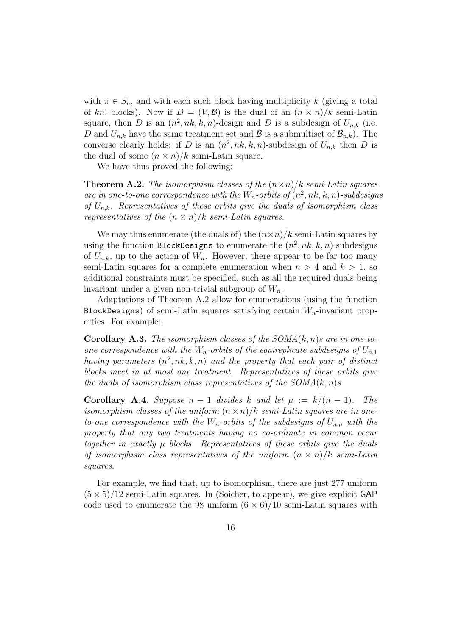with  $\pi \in S_n$ , and with each such block having multiplicity k (giving a total of kn! blocks). Now if  $D = (V, \mathcal{B})$  is the dual of an  $(n \times n)/k$  semi-Latin square, then D is an  $(n^2, nk, k, n)$ -design and D is a subdesign of  $U_{n,k}$  (i.e. D and  $U_{n,k}$  have the same treatment set and  $\mathcal{B}$  is a submultiset of  $\mathcal{B}_{n,k}$ . The converse clearly holds: if D is an  $(n^2, nk, k, n)$ -subdesign of  $U_{n,k}$  then D is the dual of some  $(n \times n)/k$  semi-Latin square.

We have thus proved the following:

**Theorem A.2.** The isomorphism classes of the  $(n \times n)/k$  semi-Latin squares are in one-to-one correspondence with the  $W_n$ -orbits of  $(n^2, nk, k, n)$ -subdesigns of  $U_{n,k}$ . Representatives of these orbits give the duals of isomorphism class representatives of the  $(n \times n)/k$  semi-Latin squares.

We may thus enumerate (the duals of) the  $(n \times n)/k$  semi-Latin squares by using the function BlockDesigns to enumerate the  $(n^2, nk, k, n)$ -subdesigns of  $U_{n,k}$ , up to the action of  $W_n$ . However, there appear to be far too many semi-Latin squares for a complete enumeration when  $n > 4$  and  $k > 1$ , so additional constraints must be specified, such as all the required duals being invariant under a given non-trivial subgroup of  $W_n$ .

Adaptations of Theorem A.2 allow for enumerations (using the function BlockDesigns) of semi-Latin squares satisfying certain  $W_n$ -invariant properties. For example:

**Corollary A.3.** The isomorphism classes of the  $SOMA(k, n)$ s are in one-toone correspondence with the  $W_n$ -orbits of the equireplicate subdesigns of  $U_{n,1}$ having parameters  $(n^2, nk, k, n)$  and the property that each pair of distinct blocks meet in at most one treatment. Representatives of these orbits give the duals of isomorphism class representatives of the  $SOMA(k, n)$ s.

**Corollary A.4.** Suppose  $n-1$  divides k and let  $\mu := k/(n-1)$ . The isomorphism classes of the uniform  $(n \times n)/k$  semi-Latin squares are in oneto-one correspondence with the  $W_n$ -orbits of the subdesigns of  $U_{n,\mu}$  with the property that any two treatments having no co-ordinate in common occur together in exactly  $\mu$  blocks. Representatives of these orbits give the duals of isomorphism class representatives of the uniform  $(n \times n)/k$  semi-Latin squares.

For example, we find that, up to isomorphism, there are just 277 uniform  $(5 \times 5)/12$  semi-Latin squares. In (Soicher, to appear), we give explicit GAP code used to enumerate the 98 uniform  $(6 \times 6)/10$  semi-Latin squares with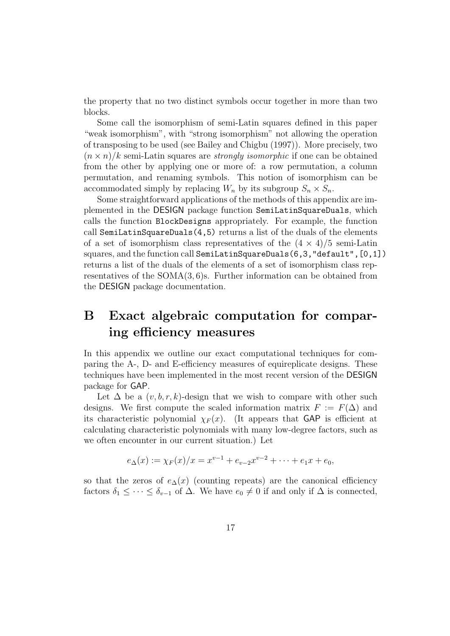the property that no two distinct symbols occur together in more than two blocks.

Some call the isomorphism of semi-Latin squares defined in this paper "weak isomorphism", with "strong isomorphism" not allowing the operation of transposing to be used (see Bailey and Chigbu (1997)). More precisely, two  $(n \times n)/k$  semi-Latin squares are *strongly isomorphic* if one can be obtained from the other by applying one or more of: a row permutation, a column permutation, and renaming symbols. This notion of isomorphism can be accommodated simply by replacing  $W_n$  by its subgroup  $S_n \times S_n$ .

Some straightforward applications of the methods of this appendix are implemented in the DESIGN package function SemiLatinSquareDuals, which calls the function BlockDesigns appropriately. For example, the function call SemiLatinSquareDuals(4,5) returns a list of the duals of the elements of a set of isomorphism class representatives of the  $(4 \times 4)/5$  semi-Latin squares, and the function call SemiLatinSquareDuals(6,3,"default",[0,1]) returns a list of the duals of the elements of a set of isomorphism class representatives of the  $SOMA(3,6)$ s. Further information can be obtained from the DESIGN package documentation.

## B Exact algebraic computation for comparing efficiency measures

In this appendix we outline our exact computational techniques for comparing the A-, D- and E-efficiency measures of equireplicate designs. These techniques have been implemented in the most recent version of the DESIGN package for GAP.

Let  $\Delta$  be a  $(v, b, r, k)$ -design that we wish to compare with other such designs. We first compute the scaled information matrix  $F := F(\Delta)$  and its characteristic polynomial  $\chi_F(x)$ . (It appears that GAP is efficient at calculating characteristic polynomials with many low-degree factors, such as we often encounter in our current situation.) Let

$$
e_{\Delta}(x) := \chi_F(x)/x = x^{v-1} + e_{v-2}x^{v-2} + \cdots + e_1x + e_0,
$$

so that the zeros of  $e_{\Delta}(x)$  (counting repeats) are the canonical efficiency factors  $\delta_1 \leq \cdots \leq \delta_{v-1}$  of  $\Delta$ . We have  $e_0 \neq 0$  if and only if  $\Delta$  is connected,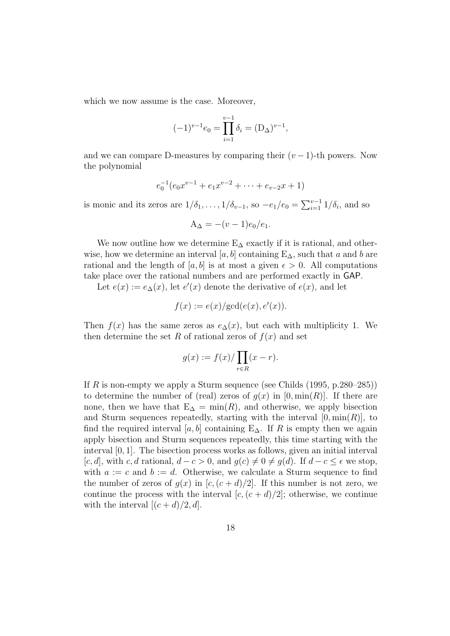which we now assume is the case. Moreover,

$$
(-1)^{v-1}e_0 = \prod_{i=1}^{v-1} \delta_i = (D_{\Delta})^{v-1},
$$

and we can compare D-measures by comparing their  $(v-1)$ -th powers. Now the polynomial

$$
e_0^{-1}(e_0x^{v-1} + e_1x^{v-2} + \dots + e_{v-2}x + 1)
$$

is monic and its zeros are  $1/\delta_1, \ldots, 1/\delta_{v-1}$ , so  $-e_1/e_0 = \sum_{i=1}^{v-1} 1/\delta_i$ , and so

$$
A_{\Delta} = -(v-1)e_0/e_1.
$$

We now outline how we determine  $E_{\Delta}$  exactly if it is rational, and otherwise, how we determine an interval [a, b] containing  $E_{\Delta}$ , such that a and b are rational and the length of [a, b] is at most a given  $\epsilon > 0$ . All computations take place over the rational numbers and are performed exactly in GAP.

Let  $e(x) := e_{\Delta}(x)$ , let  $e'(x)$  denote the derivative of  $e(x)$ , and let

$$
f(x) := e(x)/\text{gcd}(e(x), e'(x)).
$$

Then  $f(x)$  has the same zeros as  $e_{\Delta}(x)$ , but each with multiplicity 1. We then determine the set R of rational zeros of  $f(x)$  and set

$$
g(x) := f(x) / \prod_{r \in R} (x - r).
$$

If R is non-empty we apply a Sturm sequence (see Childs  $(1995, p.280-285)$ ) to determine the number of (real) zeros of  $g(x)$  in [0, min(R)]. If there are none, then we have that  $E_{\Delta} = \min(R)$ , and otherwise, we apply bisection and Sturm sequences repeatedly, starting with the interval  $[0, \min(R)]$ , to find the required interval [a, b] containing  $E_{\Delta}$ . If R is empty then we again apply bisection and Sturm sequences repeatedly, this time starting with the interval [0, 1]. The bisection process works as follows, given an initial interval [c, d], with c, d rational,  $d - c > 0$ , and  $g(c) \neq 0 \neq g(d)$ . If  $d - c \leq \epsilon$  we stop, with  $a := c$  and  $b := d$ . Otherwise, we calculate a Sturm sequence to find the number of zeros of  $q(x)$  in  $[c,(c+d)/2]$ . If this number is not zero, we continue the process with the interval  $[c,(c+d)/2]$ ; otherwise, we continue with the interval  $[(c+d)/2, d]$ .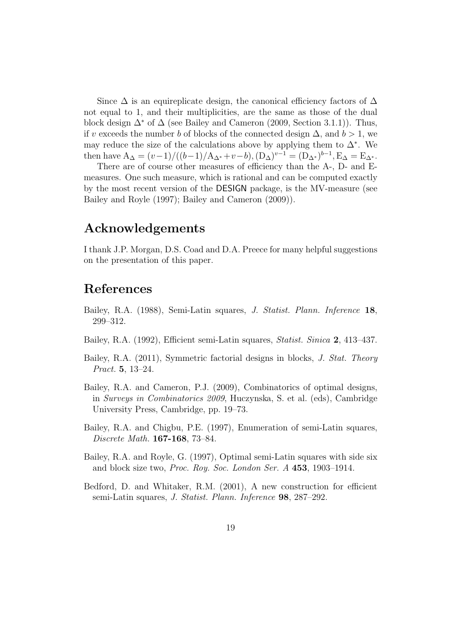Since  $\Delta$  is an equireplicate design, the canonical efficiency factors of  $\Delta$ not equal to 1, and their multiplicities, are the same as those of the dual block design  $\Delta^*$  of  $\Delta$  (see Bailey and Cameron (2009, Section 3.1.1)). Thus, if v exceeds the number b of blocks of the connected design  $\Delta$ , and  $b > 1$ , we may reduce the size of the calculations above by applying them to  $\Delta^*$ . We then have  $A_{\Delta} = (v-1)/((b-1)/A_{\Delta^*}+v-b), (D_{\Delta})^{v-1} = (D_{\Delta^*})^{b-1}, E_{\Delta} = E_{\Delta^*}.$ 

There are of course other measures of efficiency than the A-, D- and Emeasures. One such measure, which is rational and can be computed exactly by the most recent version of the DESIGN package, is the MV-measure (see Bailey and Royle (1997); Bailey and Cameron (2009)).

#### Acknowledgements

I thank J.P. Morgan, D.S. Coad and D.A. Preece for many helpful suggestions on the presentation of this paper.

## References

- Bailey, R.A. (1988), Semi-Latin squares, J. Statist. Plann. Inference 18, 299–312.
- Bailey, R.A. (1992), Efficient semi-Latin squares, Statist. Sinica 2, 413–437.
- Bailey, R.A. (2011), Symmetric factorial designs in blocks, J. Stat. Theory Pract. 5, 13–24.
- Bailey, R.A. and Cameron, P.J. (2009), Combinatorics of optimal designs, in Surveys in Combinatorics 2009, Huczynska, S. et al. (eds), Cambridge University Press, Cambridge, pp. 19–73.
- Bailey, R.A. and Chigbu, P.E. (1997), Enumeration of semi-Latin squares, Discrete Math. 167-168, 73–84.
- Bailey, R.A. and Royle, G. (1997), Optimal semi-Latin squares with side six and block size two, Proc. Roy. Soc. London Ser. A 453, 1903–1914.
- Bedford, D. and Whitaker, R.M. (2001), A new construction for efficient semi-Latin squares, J. Statist. Plann. Inference 98, 287–292.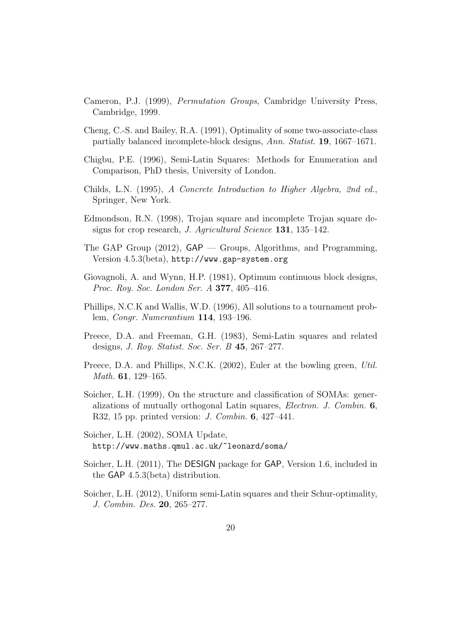- Cameron, P.J. (1999), Permutation Groups, Cambridge University Press, Cambridge, 1999.
- Cheng, C.-S. and Bailey, R.A. (1991), Optimality of some two-associate-class partially balanced incomplete-block designs, Ann. Statist. 19, 1667–1671.
- Chigbu, P.E. (1996), Semi-Latin Squares: Methods for Enumeration and Comparison, PhD thesis, University of London.
- Childs, L.N. (1995), A Concrete Introduction to Higher Algebra, 2nd ed., Springer, New York.
- Edmondson, R.N. (1998), Trojan square and incomplete Trojan square designs for crop research, *J. Agricultural Science* 131, 135–142.
- The GAP Group (2012), GAP Groups, Algorithms, and Programming, Version 4.5.3(beta), http://www.gap-system.org
- Giovagnoli, A. and Wynn, H.P. (1981), Optimum continuous block designs, Proc. Roy. Soc. London Ser. A **377**, 405-416.
- Phillips, N.C.K and Wallis, W.D. (1996), All solutions to a tournament problem, Congr. Numerantium 114, 193–196.
- Preece, D.A. and Freeman, G.H. (1983), Semi-Latin squares and related designs, J. Roy. Statist. Soc. Ser. B 45, 267–277.
- Preece, D.A. and Phillips, N.C.K. (2002), Euler at the bowling green, Util. Math. 61, 129–165.
- Soicher, L.H. (1999), On the structure and classification of SOMAs: generalizations of mutually orthogonal Latin squares, Electron. J. Combin. 6, R32, 15 pp. printed version: J. Combin. 6, 427–441.
- Soicher, L.H. (2002), SOMA Update, http://www.maths.qmul.ac.uk/~leonard/soma/
- Soicher, L.H. (2011), The DESIGN package for GAP, Version 1.6, included in the GAP 4.5.3(beta) distribution.
- Soicher, L.H. (2012), Uniform semi-Latin squares and their Schur-optimality, J. Combin. Des. 20, 265–277.